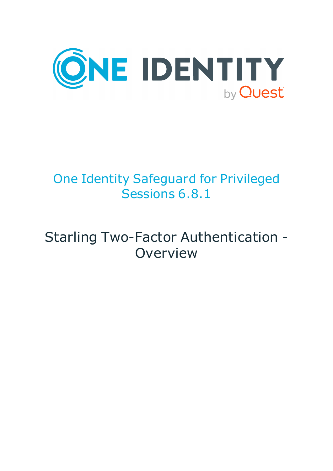

# One Identity Safeguard for Privileged Sessions 6.8.1

# Starling Two-Factor Authentication - **Overview**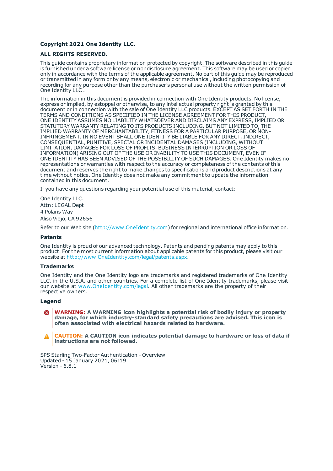#### **Copyright 2021 One Identity LLC.**

#### **ALL RIGHTS RESERVED.**

This guide contains proprietary information protected by copyright. The software described in this guide is furnished under a software license or nondisclosure agreement. This software may be used or copied only in accordance with the terms of the applicable agreement. No part of this guide may be reproduced or transmitted in any form or by any means, electronic or mechanical, including photocopying and recording for any purpose other than the purchaser's personal use without the written permission of One Identity LLC .

The information in this document is provided in connection with One Identity products. No license, express or implied, by estoppel or otherwise, to any intellectual property right is granted by this document or in connection with the sale of One Identity LLC products. EXCEPT AS SET FORTH IN THE TERMS AND CONDITIONS AS SPECIFIED IN THE LICENSE AGREEMENT FOR THIS PRODUCT, ONE IDENTITY ASSUMES NO LIABILITY WHATSOEVER AND DISCLAIMS ANY EXPRESS, IMPLIED OR STATUTORY WARRANTY RELATING TO ITS PRODUCTS INCLUDING, BUT NOT LIMITED TO, THE IMPLIED WARRANTY OF MERCHANTABILITY, FITNESS FOR A PARTICULAR PURPOSE, OR NON-INFRINGEMENT. IN NO EVENT SHALL ONE IDENTITY BE LIABLE FOR ANY DIRECT, INDIRECT, CONSEQUENTIAL, PUNITIVE, SPECIAL OR INCIDENTAL DAMAGES (INCLUDING, WITHOUT LIMITATION, DAMAGES FOR LOSS OF PROFITS, BUSINESS INTERRUPTION OR LOSS OF INFORMATION) ARISING OUT OF THE USE OR INABILITY TO USE THIS DOCUMENT, EVEN IF ONE IDENTITY HAS BEEN ADVISED OF THE POSSIBILITY OF SUCH DAMAGES. One Identity makes no representations or warranties with respect to the accuracy or completeness of the contents of this document and reserves the right to make changes to specifications and product descriptions at any time without notice. One Identity does not make any commitment to update the information contained in this document.

If you have any questions regarding your potential use of this material, contact:

One Identity LLC. Attn: LEGAL Dept 4 Polaris Way Aliso Viejo, CA 92656

Refer to our Web site ([http://www.OneIdentity.com](http://www.oneidentity.com/)) for regional and international office information.

#### **Patents**

One Identity is proud of our advanced technology. Patents and pending patents may apply to this product. For the most current information about applicable patents for this product, please visit our website at [http://www.OneIdentity.com/legal/patents.aspx](http://www.oneidentity.com/legal/patents.aspx).

#### **Trademarks**

One Identity and the One Identity logo are trademarks and registered trademarks of One Identity LLC. in the U.S.A. and other countries. For a complete list of One Identity trademarks, please visit our website at [www.OneIdentity.com/legal](http://www.oneidentity.com/legal). All other trademarks are the property of their respective owners.

#### **Legend**

**WARNING: A WARNING icon highlights a potential risk of bodily injury or property damage, for which industry-standard safety precautions are advised. This icon is often associated with electrical hazards related to hardware.**

**CAUTION: A CAUTION icon indicates potential damage to hardware or loss of data if** A **instructions are not followed.**

SPS Starling Two-Factor Authentication - Overview Updated - 15 January 2021, 06:19 Version - 6.8.1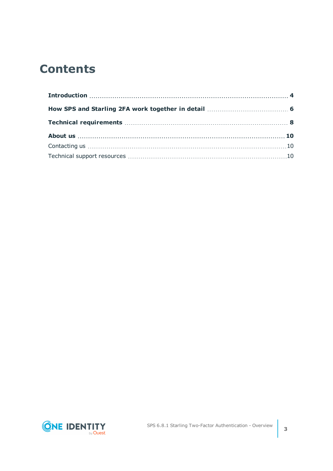## **Contents**

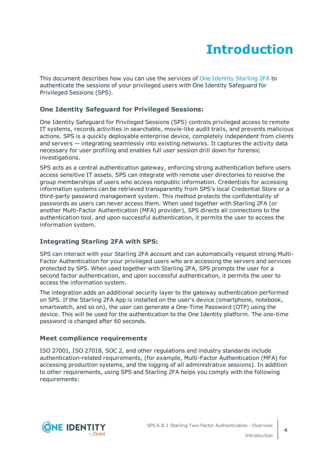# **Introduction**

<span id="page-3-0"></span>This document describes how you can use the services of One Identity [Starling](https://www.oneidentity.com/) 2FA to authenticate the sessions of your privileged users with One Identity Safeguard for Privileged Sessions (SPS).

### **One Identity Safeguard for Privileged Sessions:**

One Identity Safeguard for Privileged Sessions (SPS) controls privileged access to remote IT systems, records activities in searchable, movie-like audit trails, and prevents malicious actions. SPS is a quickly deployable enterprise device, completely independent from clients and servers — integrating seamlessly into existing networks. It captures the activity data necessary for user profiling and enables full user session drill down for forensic investigations.

SPS acts as a central authentication gateway, enforcing strong authentication before users access sensitive IT assets. SPS can integrate with remote user directories to resolve the group memberships of users who access nonpublic information. Credentials for accessing information systems can be retrieved transparently from SPS's local Credential Store or a third-party password management system. This method protects the confidentiality of passwords as users can never access them. When used together with Starling 2FA (or another Multi-Factor Authentication (MFA) provider), SPS directs all connections to the authentication tool, and upon successful authentication, it permits the user to access the information system.

### **Integrating Starling 2FA with SPS:**

SPS can interact with your Starling 2FA account and can automatically request strong Multi-Factor Authentication for your privileged users who are accessing the servers and services protected by SPS. When used together with Starling 2FA, SPS prompts the user for a second factor authentication, and upon successful authentication, it permits the user to access the information system.

The integration adds an additional security layer to the gateway authentication performed on SPS. If the Starling 2FA App is installed on the user's device (smartphone, notebook, smartwatch, and so on), the user can generate a One-Time Password (OTP) using the device. This will be used for the authentication to the One Identity platform. The one-time password is changed after 60 seconds.

### **Meet compliance requirements**

ISO 27001, ISO 27018, SOC 2, and other regulations and industry standards include authentication-related requirements, (for example, Multi-Factor Authentication (MFA) for accessing production systems, and the logging of all administrative sessions). In addition to other requirements, using SPS and Starling 2FA helps you comply with the following requirements:

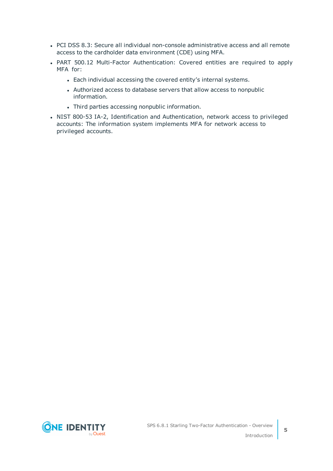- PCI DSS 8.3: Secure all individual non-console administrative access and all remote access to the cardholder data environment (CDE) using MFA.
- PART 500.12 Multi-Factor Authentication: Covered entities are required to apply MFA for:
	- Each individual accessing the covered entity's internal systems.
	- Authorized access to database servers that allow access to nonpublic information.
	- Third parties accessing nonpublic information.
- NIST 800-53 IA-2, Identification and Authentication, network access to privileged accounts: The information system implements MFA for network access to privileged accounts.

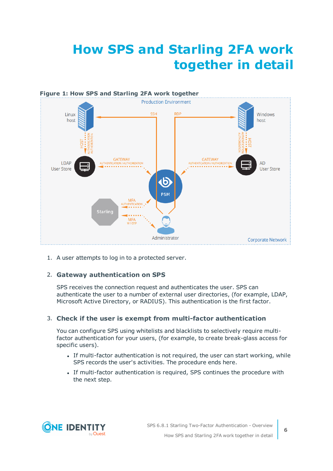# <span id="page-5-0"></span>**How SPS and Starling 2FA work together in detail**



1. A user attempts to log in to a protected server.

### 2. **Gateway authentication on SPS**

SPS receives the connection request and authenticates the user. SPS can authenticate the user to a number of external user directories, (for example, LDAP, Microsoft Active Directory, or RADIUS). This authentication is the first factor.

#### 3. **Check if the user is exempt from multi-factor authentication**

You can configure SPS using whitelists and blacklists to selectively require multifactor authentication for your users, (for example, to create break-glass access for specific users).

- If multi-factor authentication is not required, the user can start working, while SPS records the user's activities. The procedure ends here.
- If multi-factor authentication is required, SPS continues the procedure with the next step.

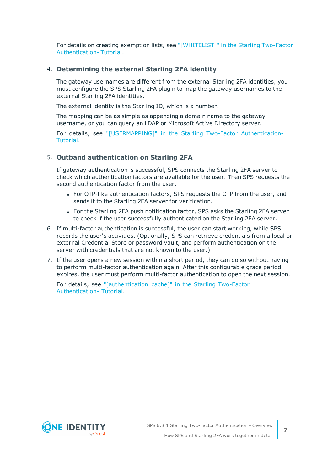For details on creating exemption lists, see ["\[WHITELIST\]"](https://support.oneidentity.com/technical-documents/safeguard-for-privileged-sessions/6.8.1/starling-two-factor-authentication--tutorial/[whitelist]/) in the Starling Two-Factor [Authentication-](https://support.oneidentity.com/technical-documents/safeguard-for-privileged-sessions/6.8.1/starling-two-factor-authentication--tutorial/[whitelist]/) Tutorial.

#### 4. **Determining the external Starling 2FA identity**

The gateway usernames are different from the external Starling 2FA identities, you must configure the SPS Starling 2FA plugin to map the gateway usernames to the external Starling 2FA identities.

The external identity is the Starling ID, which is a number.

The mapping can be as simple as appending a domain name to the gateway username, or you can query an LDAP or Microsoft Active Directory server.

For details, see ["\[USERMAPPING\]"](https://support.oneidentity.com/technical-documents/safeguard-for-privileged-sessions/6.8.1/starling-two-factor-authentication--tutorial/[usermapping]/) in the Starling Two-Factor Authentication-[Tutorial.](https://support.oneidentity.com/technical-documents/safeguard-for-privileged-sessions/6.8.1/starling-two-factor-authentication--tutorial/[usermapping]/)

#### 5. **Outband authentication on Starling 2FA**

If gateway authentication is successful, SPS connects the Starling 2FA server to check which authentication factors are available for the user. Then SPS requests the second authentication factor from the user.

- For OTP-like authentication factors, SPS requests the OTP from the user, and sends it to the Starling 2FA server for verification.
- For the Starling 2FA push notification factor, SPS asks the Starling 2FA server to check if the user successfully authenticated on the Starling 2FA server.
- 6. If multi-factor authentication is successful, the user can start working, while SPS records the user's activities. (Optionally, SPS can retrieve credentials from a local or external Credential Store or password vault, and perform authentication on the server with credentials that are not known to the user.)
- 7. If the user opens a new session within a short period, they can do so without having to perform multi-factor authentication again. After this configurable grace period expires, the user must perform multi-factor authentication to open the next session.

For details, see ["\[authentication\\_cache\]"](https://support.oneidentity.com/technical-documents/safeguard-for-privileged-sessions/6.8.1/starling-two-factor-authentication--tutorial/[authentication_cache]/) in the Starling Two-Factor [Authentication-](https://support.oneidentity.com/technical-documents/safeguard-for-privileged-sessions/6.8.1/starling-two-factor-authentication--tutorial/[authentication_cache]/) Tutorial.

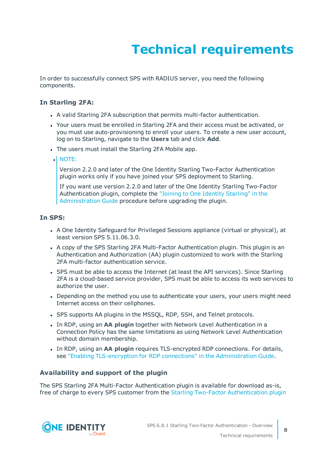# **Technical requirements**

<span id="page-7-0"></span>In order to successfully connect SPS with RADIUS server, you need the following components.

### **In Starling 2FA:**

- A valid Starling 2FA subscription that permits multi-factor authentication.
- Your users must be enrolled in Starling 2FA and their access must be activated, or you must use auto-provisioning to enroll your users. To create a new user account, log on to Starling, navigate to the **Users** tab and click **Add**.
- The users must install the Starling 2FA Mobile app.
- $\bullet$  NOTE:

Version 2.2.0 and later of the One Identity Starling Two-Factor Authentication plugin works only if you have joined your SPS deployment to Starling.

If you want use version 2.2.0 and later of the One Identity Starling Two-Factor Authentication plugin, complete the "Joining to One Identity [Starling"](https://support.oneidentity.com/technical-documents/safeguard-for-privileged-sessions/6.8.1/administration-guide/basic-settings/joining-to-one-identity-starling/) in the [Administration](https://support.oneidentity.com/technical-documents/safeguard-for-privileged-sessions/6.8.1/administration-guide/basic-settings/joining-to-one-identity-starling/) Guide procedure before upgrading the plugin.

#### **In SPS:**

- A One Identity Safeguard for Privileged Sessions appliance (virtual or physical), at least version SPS 5.11.06.3.0.
- A copy of the SPS Starling 2FA Multi-Factor Authentication plugin. This plugin is an Authentication and Authorization (AA) plugin customized to work with the Starling 2FA multi-factor authentication service.
- SPS must be able to access the Internet (at least the API services). Since Starling 2FA is a cloud-based service provider, SPS must be able to access its web services to authorize the user.
- Depending on the method you use to authenticate your users, your users might need Internet access on their cellphones.
- SPS supports AA plugins in the MSSQL, RDP, SSH, and Telnet protocols.
- In RDP, using an AA plugin together with Network Level Authentication in a Connection Policy has the same limitations as using Network Level Authentication without domain membership.
- **.** In RDP, using an AA plugin requires TLS-encrypted RDP connections. For details, see "Enabling [TLS-encryption](https://support.oneidentity.com/technical-documents/safeguard-for-privileged-sessions/6.8.1/administration-guide/rdp-specific-settings/enabling-tls-encryption-for-rdp-connections/) for RDP connections" in the Administration Guide.

#### **Availability and support of the plugin**

The SPS Starling 2FA Multi-Factor Authentication plugin is available for download as-is, free of charge to every SPS customer from the Starling Two-Factor [Authentication](https://github.com/OneIdentity/safeguard-sessions-plugin-starling-2fa/releases) plugin

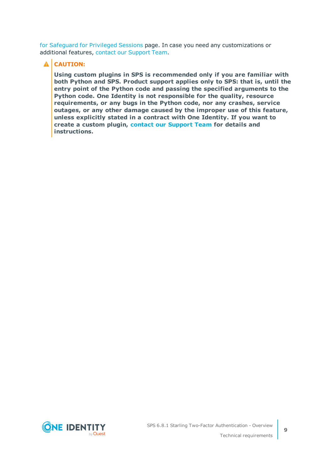for [Safeguard](https://github.com/OneIdentity/safeguard-sessions-plugin-starling-2fa/releases) for Privileged Sessions page. In case you need any customizations or additional features, contact our [Support](https://support.oneidentity.com/one-identity-safeguard-for-privileged-sessions) Team.

### **A** CAUTION:

**Using custom plugins in SPS is recommended only if you are familiar with both Python and SPS. Product support applies only to SPS: that is, until the entry point of the Python code and passing the specified arguments to the Python code. One Identity is not responsible for the quality, resource requirements, or any bugs in the Python code, nor any crashes, service outages, or any other damage caused by the improper use of this feature, unless explicitly stated in a contract with One Identity. If you want to create a custom plugin, contact our [Support](https://support.oneidentity.com/one-identity-safeguard-for-privileged-sessions) Team for details and instructions.**